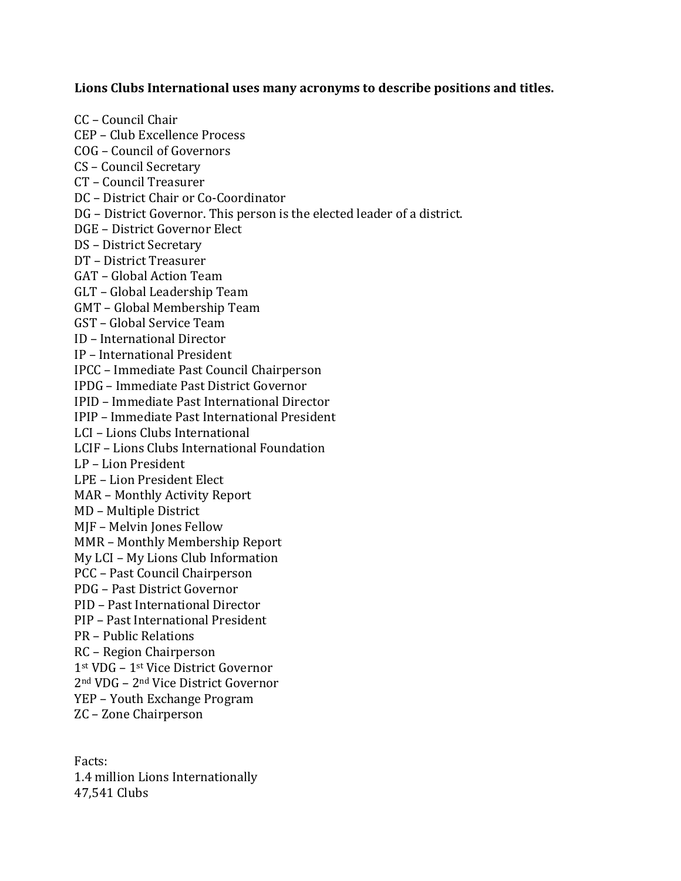## **Lions Clubs International uses many acronyms to describe positions and titles.**

CC – Council Chair CEP – Club Excellence Process COG – Council of Governors CS – Council Secretary CT – Council Treasurer DC – District Chair or Co-Coordinator DG – District Governor. This person is the elected leader of a district. DGE – District Governor Elect DS – District Secretary DT – District Treasurer GAT – Global Action Team GLT – Global Leadership Team GMT – Global Membership Team GST – Global Service Team ID – International Director IP – International President IPCC – Immediate Past Council Chairperson IPDG – Immediate Past District Governor IPID – Immediate Past International Director IPIP – Immediate Past International President LCI – Lions Clubs International LCIF – Lions Clubs International Foundation LP – Lion President LPE – Lion President Elect MAR – Monthly Activity Report MD – Multiple District MJF – Melvin Jones Fellow MMR – Monthly Membership Report My LCI – My Lions Club Information PCC – Past Council Chairperson PDG – Past District Governor PID – Past International Director PIP – Past International President PR – Public Relations RC – Region Chairperson 1st VDG – 1st Vice District Governor 2nd VDG – 2nd Vice District Governor YEP – Youth Exchange Program ZC – Zone Chairperson

Facts: 1.4 million Lions Internationally 47,541 Clubs